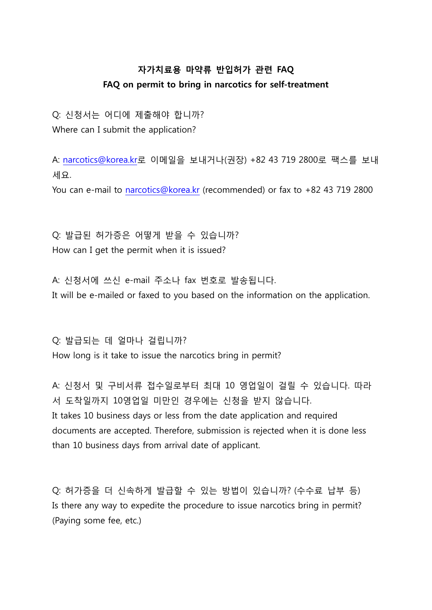## **자가치료용 마약류 반입허가 관련 FAQ FAQ on permit to bring in narcotics for self-treatment**

Q: 신청서는 어디에 제출해야 합니까? Where can I submit the application?

A: narcotics@korea.kr로 이메일을 보내거나(권장) +82 43 719 2800로 팩스를 보내

세요.<br>You can e-mail to narcotics@korea.kr (recommended) or fax to +82 43 719 2800

Q: 발급된 허가증은 어떻게 받을 수 있습니까? How can I get the permit when it is issued?

A: 신청서에 쓰신 e-mail 주소나 fax 번호로 발송됩니다. It will be e-mailed or faxed to you based on the information on the application.

Q: 발급되는 데 얼마나 걸립니까? How long is it take to issue the narcotics bring in permit?

A: 신청서 및 구비서류 접수일로부터 최대 10 영업일이 걸릴 수 있습니다. 따라 서 도착일까지 10영업일 미만인 경우에는 신청을 받지 않습니다. It takes 10 business days or less from the date application and required documents are accepted. Therefore, submission is rejected when it is done less than 10 business days from arrival date of applicant.

Q: 허가증을 더 신속하게 발급할 수 있는 방법이 있습니까? (수수료 납부 등) Is there any way to expedite the procedure to issue narcotics bring in permit? (Paying some fee, etc.)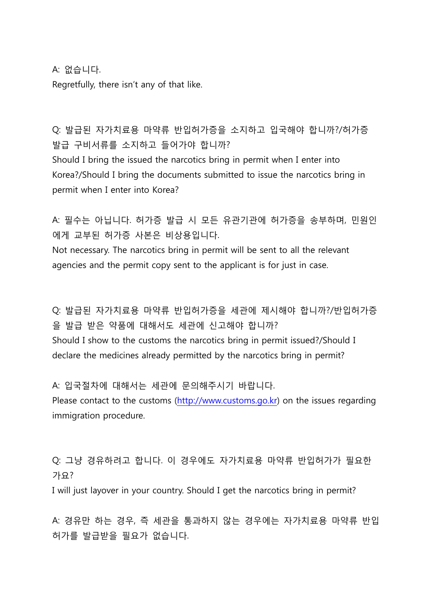A: 없습니다.<br>Regretfully, there isn't any of that like.

## Q: 발급된 자가치료용 마약류 반입허가증을 소지하고 입국해야 합니까?/허가증 발급 구비서류를 소지하고 들어가야 합니까?

Should I bring the issued the narcotics bring in permit when I enter into Korea?/Should I bring the documents submitted to issue the narcotics bring in permit when I enter into Korea?

A: 필수는 아닙니다. 허가증 발급 시 모든 유관기관에 허가증을 송부하며, 민원인 에게 교부된 허가증 사본은 비상용입니다.<br>Not necessary. The narcotics bring in permit will be sent to all the relevant

agencies and the permit copy sent to the applicant is for just in case.

Q: 발급된 자가치료용 마약류 반입허가증을 세관에 제시해야 합니까?/반입허가증 을 발급 받은 약품에 대해서도 세관에 신고해야 합니까? Should I show to the customs the narcotics bring in permit issued?/Should I declare the medicines already permitted by the narcotics bring in permit?

A: 입국절차에 대해서는 세관에 문의해주시기 바랍니다. Please contact to the customs (http://www.customs.go.kr) on the issues regarding immigration procedure.

Q: 그냥 경유하려고 합니다. 이 경우에도 자가치료용 마약류 반입허가가 필요한 가요?

I will just layover in your country. Should I get the narcotics bring in permit?

A: 경유만 하는 경우, 즉 세관을 통과하지 않는 경우에는 자가치료용 마약류 반입 허가를 발급받을 필요가 없습니다.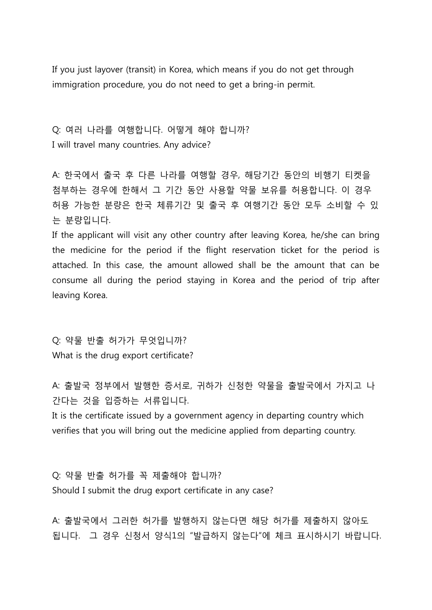If you just layover (transit) in Korea, which means if you do not get through immigration procedure, you do not need to get a bring-in permit.

Q: 여러 나라를 여행합니다. 어떻게 해야 합니까? I will travel many countries. Any advice?

A: 한국에서 출국 후 다른 나라를 여행할 경우, 해당기간 동안의 비행기 티켓을 첨부하는 경우에 한해서 그 기간 동안 사용할 약물 보유를 허용합니다. 이 경우 허용 가능한 분량은 한국 체류기간 및 출국 후 여행기간 동안 모두 소비할 수 있 는 분량입니다.

If the applicant will visit any other country after leaving Korea, he/she can bring the medicine for the period if the flight reservation ticket for the period is attached. In this case, the amount allowed shall be the amount that can be consume all during the period staying in Korea and the period of trip after leaving Korea.

Q: 약물 반출 허가가 무엇입니까? What is the drug export certificate?

A: 출발국 정부에서 발행한 증서로, 귀하가 신청한 약물을 출발국에서 가지고 나 간다는 것을 입증하는 서류입니다.

It is the certificate issued by a government agency in departing country which verifies that you will bring out the medicine applied from departing country.

Q: 약물 반출 허가를 꼭 제출해야 합니까? Should I submit the drug export certificate in any case?

A: 출발국에서 그러한 허가를 발행하지 않는다면 해당 허가를 제출하지 않아도 됩니다. 그 경우 신청서 양식1의 "발급하지 않는다"에 체크 표시하시기 바랍니다.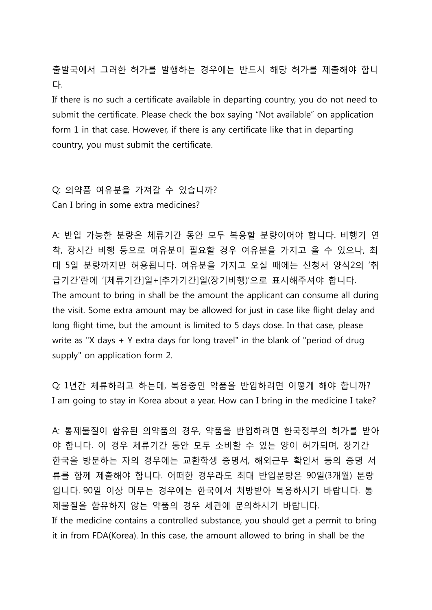출발국에서 그러한 허가를 발행하는 경우에는 반드시 해당 허가를 제출해야 합니 다.

If there is no such a certificate available in departing country, you do not need to submit the certificate. Please check the box saying "Not available" on application form 1 in that case. However, if there is any certificate like that in departing country, you must submit the certificate.

Q: 의약품 여유분을 가져갈 수 있습니까? Can I bring in some extra medicines?

A: 반입 가능한 분량은 체류기간 동안 모두 복용할 분량이어야 합니다. 비행기 연 착, 장시간 비행 등으로 여유분이 필요할 경우 여유분을 가지고 올 수 있으나, 최 대 5일 분량까지만 허용됩니다. 여유분을 가지고 오실 때에는 신청서 양식2의 '취 급기간'란에 '[체류기간]일+[추가기간]일(장기비행)'으로 표시해주셔야 합니다. The amount to bring in shall be the amount the applicant can consume all during the visit. Some extra amount may be allowed for just in case like flight delay and long flight time, but the amount is limited to 5 days dose. In that case, please write as "X days + Y extra days for long travel" in the blank of "period of drug supply" on application form 2.

Q: 1년간 체류하려고 하는데, 복용중인 약품을 반입하려면 어떻게 해야 합니까? I am going to stay in Korea about a year. How can I bring in the medicine I take?

A: 통제물질이 함유된 의약품의 경우, 약품을 반입하려면 한국정부의 허가를 받아 야 합니다. 이 경우 체류기간 동안 모두 소비할 수 있는 양이 허가되며, 장기간 한국을 방문하는 자의 경우에는 교환학생 증명서, 해외근무 확인서 등의 증명 서 류를 함께 제출해야 합니다. 어떠한 경우라도 최대 반입분량은 90일(3개월) 분량 입니다. 90일 이상 머무는 경우에는 한국에서 처방받아 복용하시기 바랍니다. 통 제물질을 함유하지 않는 약품의 경우 세관에 문의하시기 바랍니다. If the medicine contains a controlled substance, you should get a permit to bring it in from FDA(Korea). In this case, the amount allowed to bring in shall be the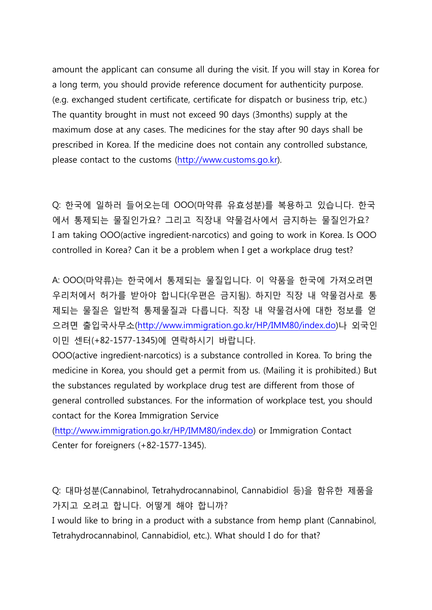amount the applicant can consume all during the visit. If you will stay in Korea for a long term, you should provide reference document for authenticity purpose. (e.g. exchanged student certificate, certificate for dispatch or business trip, etc.) The quantity brought in must not exceed 90 days (3months) supply at the maximum dose at any cases. The medicines for the stay after 90 days shall be prescribed in Korea. If the medicine does not contain any controlled substance, please contact to the customs (http://www.customs.go.kr).

Q: 한국에 일하러 들어오는데 OOO(마약류 유효성분)를 복용하고 있습니다. 한국 에서 통제되는 물질인가요? 그리고 직장내 약물검사에서 금지하는 물질인가요? I am taking OOO(active ingredient-narcotics) and going to work in Korea. Is OOO controlled in Korea? Can it be a problem when I get a workplace drug test?

A: OOO(마약류)는 한국에서 통제되는 물질입니다. 이 약품을 한국에 가져오려면 우리처에서 허가를 받아야 합니다(우편은 금지됨). 하지만 직장 내 약물검사로 통 제되는 물질은 일반적 통제물질과 다릅니다. 직장 내 약물검사에 대한 정보를 얻 으려면 출입국사무소(http://www.immigration.go.kr/HP/IMM80/index.do)나 외국인 이민 센터(+82-1577-1345)에 연락하시기 바랍니다.<br>OOO(active ingredient-narcotics) is a substance controlled in Korea. To bring the

medicine in Korea, you should get a permit from us. (Mailing it is prohibited.) But the substances regulated by workplace drug test are different from those of general controlled substances. For the information of workplace test, you should contact for the Korea Immigration Service

(http://www.immigration.go.kr/HP/IMM80/index.do) or Immigration Contact Center for foreigners (+82-1577-1345).

Q: 대마성분(Cannabinol, Tetrahydrocannabinol, Cannabidiol 등)을 함유한 제품을 가지고 오려고 합니다. 어떻게 해야 합니까?

I would like to bring in a product with a substance from hemp plant (Cannabinol, Tetrahydrocannabinol, Cannabidiol, etc.). What should I do for that?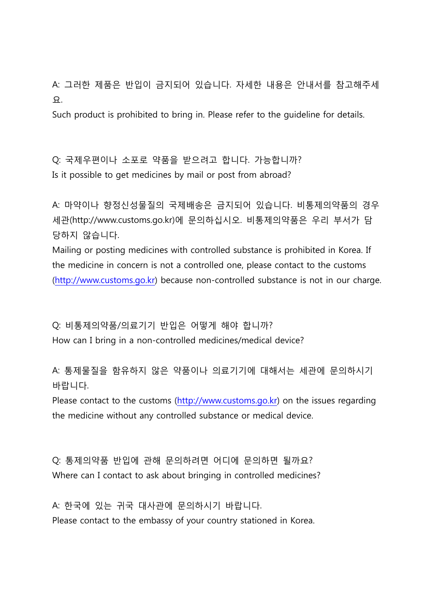A: 그러한 제품은 반입이 금지되어 있습니다. 자세한 내용은 안내서를 참고해주세 요. Such product is prohibited to bring in. Please refer to the guideline for details.

Q: 국제우편이나 소포로 약품을 받으려고 합니다. 가능합니까? Is it possible to get medicines by mail or post from abroad?

A: 마약이나 향정신성물질의 국제배송은 금지되어 있습니다. 비통제의약품의 경우 세관(http://www.customs.go.kr)에 문의하십시오. 비통제의약품은 우리 부서가 담 당하지 않습니다. Mailing or posting medicines with controlled substance is prohibited in Korea. If

the medicine in concern is not a controlled one, please contact to the customs (http://www.customs.go.kr) because non-controlled substance is not in our charge.

Q: 비통제의약품/의료기기 반입은 어떻게 해야 합니까? How can I bring in a non-controlled medicines/medical device?

A: 통제물질을 함유하지 않은 약품이나 의료기기에 대해서는 세관에 문의하시기 바랍니다.<br>Please contact to the customs (http://www.customs.go.kr) on the issues regarding

the medicine without any controlled substance or medical device.

Q: 통제의약품 반입에 관해 문의하려면 어디에 문의하면 될까요? Where can I contact to ask about bringing in controlled medicines?

A: 한국에 있는 귀국 대사관에 문의하시기 바랍니다. Please contact to the embassy of your country stationed in Korea.